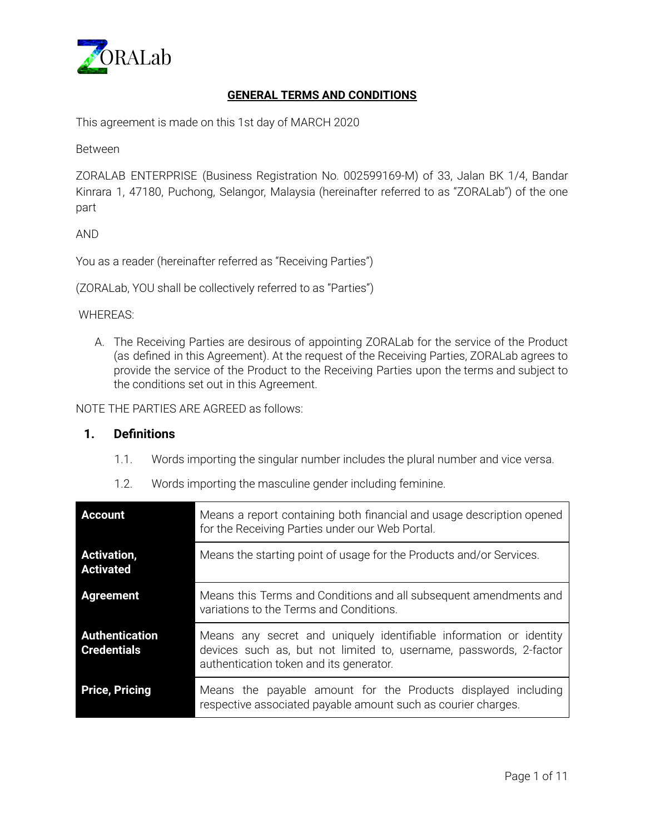

# **GENERAL TERMS AND CONDITIONS**

This agreement is made on this 1st day of MARCH 2020

Between

ZORALAB ENTERPRISE (Business Registration No. 002599169-M) of 33, Jalan BK 1/4, Bandar Kinrara 1, 47180, Puchong, Selangor, Malaysia (hereinafter referred to as "ZORALab") of the one part

AND

You as a reader (hereinafter referred as "Receiving Parties")

(ZORALab, YOU shall be collectively referred to as "Parties")

WHEREAS:

A. The Receiving Parties are desirous of appointing ZORALab for the service of the Product (as defined in this Agreement). At the request of the Receiving Parties, ZORALab agrees to provide the service of the Product to the Receiving Parties upon the terms and subject to the conditions set out in this Agreement.

NOTE THE PARTIES ARE AGREED as follows:

## **1. Definitions**

1.1. Words importing the singular number includes the plural number and vice versa.

| <b>Account</b>                              | Means a report containing both financial and usage description opened<br>for the Receiving Parties under our Web Portal.                                                            |
|---------------------------------------------|-------------------------------------------------------------------------------------------------------------------------------------------------------------------------------------|
| <b>Activation,</b><br><b>Activated</b>      | Means the starting point of usage for the Products and/or Services.                                                                                                                 |
| <b>Agreement</b>                            | Means this Terms and Conditions and all subsequent amendments and<br>variations to the Terms and Conditions.                                                                        |
| <b>Authentication</b><br><b>Credentials</b> | Means any secret and uniquely identifiable information or identity<br>devices such as, but not limited to, username, passwords, 2-factor<br>authentication token and its generator. |
| <b>Price, Pricing</b>                       | Means the payable amount for the Products displayed including<br>respective associated payable amount such as courier charges.                                                      |

1.2. Words importing the masculine gender including feminine.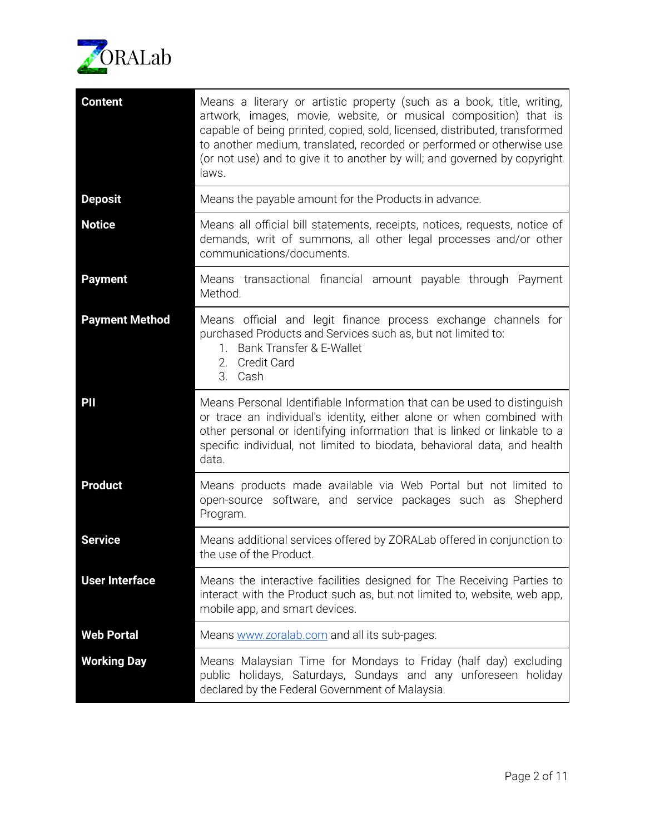

| <b>Content</b>        | Means a literary or artistic property (such as a book, title, writing,<br>artwork, images, movie, website, or musical composition) that is<br>capable of being printed, copied, sold, licensed, distributed, transformed<br>to another medium, translated, recorded or performed or otherwise use<br>(or not use) and to give it to another by will; and governed by copyright<br>laws. |
|-----------------------|-----------------------------------------------------------------------------------------------------------------------------------------------------------------------------------------------------------------------------------------------------------------------------------------------------------------------------------------------------------------------------------------|
| <b>Deposit</b>        | Means the payable amount for the Products in advance.                                                                                                                                                                                                                                                                                                                                   |
| <b>Notice</b>         | Means all official bill statements, receipts, notices, requests, notice of<br>demands, writ of summons, all other legal processes and/or other<br>communications/documents.                                                                                                                                                                                                             |
| <b>Payment</b>        | Means transactional financial amount payable through Payment<br>Method.                                                                                                                                                                                                                                                                                                                 |
| <b>Payment Method</b> | Means official and legit finance process exchange channels for<br>purchased Products and Services such as, but not limited to:<br>Bank Transfer & E-Wallet<br>1.<br><b>Credit Card</b><br>2.<br>3. Cash                                                                                                                                                                                 |
| PII                   | Means Personal Identifiable Information that can be used to distinguish<br>or trace an individual's identity, either alone or when combined with<br>other personal or identifying information that is linked or linkable to a<br>specific individual, not limited to biodata, behavioral data, and health<br>data.                                                                      |
| <b>Product</b>        | Means products made available via Web Portal but not limited to<br>open-source software, and service packages such as Shepherd<br>Program.                                                                                                                                                                                                                                              |
| <b>Service</b>        | Means additional services offered by ZORALab offered in conjunction to<br>the use of the Product.                                                                                                                                                                                                                                                                                       |
| <b>User Interface</b> | Means the interactive facilities designed for The Receiving Parties to<br>interact with the Product such as, but not limited to, website, web app,<br>mobile app, and smart devices.                                                                                                                                                                                                    |
| <b>Web Portal</b>     | Means www.zoralab.com and all its sub-pages.                                                                                                                                                                                                                                                                                                                                            |
| <b>Working Day</b>    | Means Malaysian Time for Mondays to Friday (half day) excluding<br>public holidays, Saturdays, Sundays and any unforeseen holiday<br>declared by the Federal Government of Malaysia.                                                                                                                                                                                                    |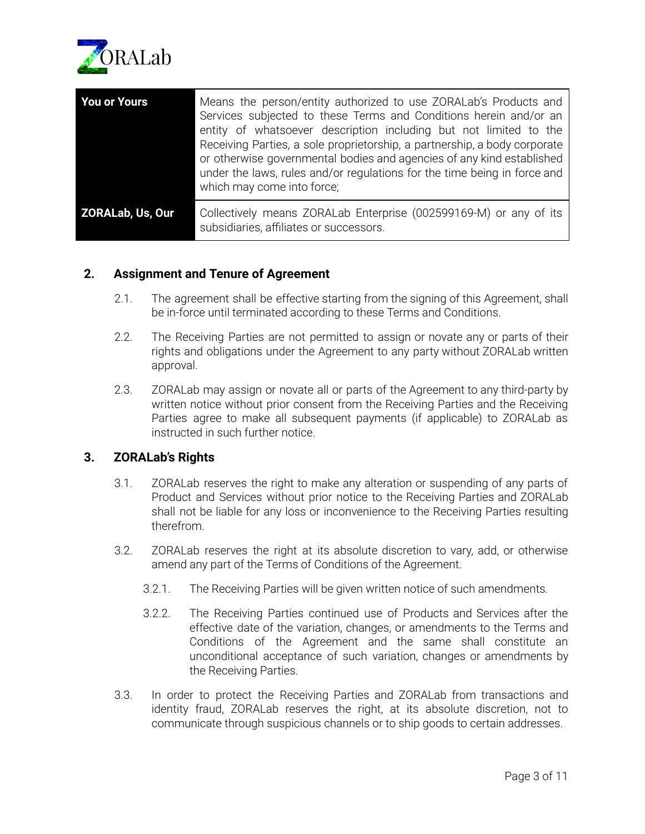

| <b>You or Yours</b> | Means the person/entity authorized to use ZORALab's Products and<br>Services subjected to these Terms and Conditions herein and/or an<br>entity of whatsoever description including but not limited to the<br>Receiving Parties, a sole proprietorship, a partnership, a body corporate<br>or otherwise governmental bodies and agencies of any kind established<br>under the laws, rules and/or regulations for the time being in force and<br>which may come into force; |
|---------------------|----------------------------------------------------------------------------------------------------------------------------------------------------------------------------------------------------------------------------------------------------------------------------------------------------------------------------------------------------------------------------------------------------------------------------------------------------------------------------|
| ZORALab, Us, Our    | Collectively means ZORALab Enterprise (002599169-M) or any of its<br>subsidiaries, affiliates or successors.                                                                                                                                                                                                                                                                                                                                                               |

# **2. Assignment and Tenure of Agreement**

- 2.1. The agreement shall be effective starting from the signing of this Agreement, shall be in-force until terminated according to these Terms and Conditions.
- 2.2. The Receiving Parties are not permitted to assign or novate any or parts of their rights and obligations under the Agreement to any party without ZORALab written approval.
- 2.3. ZORALab may assign or novate all or parts of the Agreement to any third-party by written notice without prior consent from the Receiving Parties and the Receiving Parties agree to make all subsequent payments (if applicable) to ZORALab as instructed in such further notice.

# **3. ZORALab's Rights**

- 3.1. ZORALab reserves the right to make any alteration or suspending of any parts of Product and Services without prior notice to the Receiving Parties and ZORALab shall not be liable for any loss or inconvenience to the Receiving Parties resulting therefrom.
- 3.2. ZORALab reserves the right at its absolute discretion to vary, add, or otherwise amend any part of the Terms of Conditions of the Agreement.
	- 3.2.1. The Receiving Parties will be given written notice of such amendments.
	- 3.2.2. The Receiving Parties continued use of Products and Services after the effective date of the variation, changes, or amendments to the Terms and Conditions of the Agreement and the same shall constitute an unconditional acceptance of such variation, changes or amendments by the Receiving Parties.
- 3.3. In order to protect the Receiving Parties and ZORALab from transactions and identity fraud, ZORALab reserves the right, at its absolute discretion, not to communicate through suspicious channels or to ship goods to certain addresses.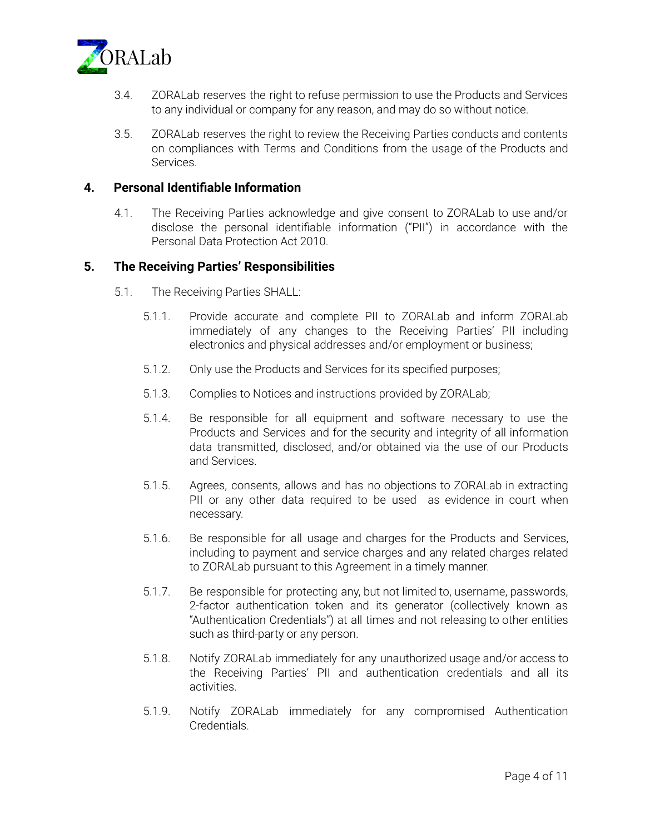

- 3.4. ZORALab reserves the right to refuse permission to use the Products and Services to any individual or company for any reason, and may do so without notice.
- 3.5. ZORALab reserves the right to review the Receiving Parties conducts and contents on compliances with Terms and Conditions from the usage of the Products and Services.

## **4. Personal Identifiable Information**

4.1. The Receiving Parties acknowledge and give consent to ZORALab to use and/or disclose the personal identifiable information ("PII") in accordance with the Personal Data Protection Act 2010.

## **5. The Receiving Parties' Responsibilities**

- 5.1. The Receiving Parties SHALL:
	- 5.1.1. Provide accurate and complete PII to ZORALab and inform ZORALab immediately of any changes to the Receiving Parties' PII including electronics and physical addresses and/or employment or business;
	- 5.1.2. Only use the Products and Services for its specified purposes;
	- 5.1.3. Complies to Notices and instructions provided by ZORALab;
	- 5.1.4. Be responsible for all equipment and software necessary to use the Products and Services and for the security and integrity of all information data transmitted, disclosed, and/or obtained via the use of our Products and Services.
	- 5.1.5. Agrees, consents, allows and has no objections to ZORALab in extracting PII or any other data required to be used as evidence in court when necessary.
	- 5.1.6. Be responsible for all usage and charges for the Products and Services, including to payment and service charges and any related charges related to ZORALab pursuant to this Agreement in a timely manner.
	- 5.1.7. Be responsible for protecting any, but not limited to, username, passwords, 2-factor authentication token and its generator (collectively known as "Authentication Credentials") at all times and not releasing to other entities such as third-party or any person.
	- 5.1.8. Notify ZORALab immediately for any unauthorized usage and/or access to the Receiving Parties' PII and authentication credentials and all its activities.
	- 5.1.9. Notify ZORALab immediately for any compromised Authentication Credentials.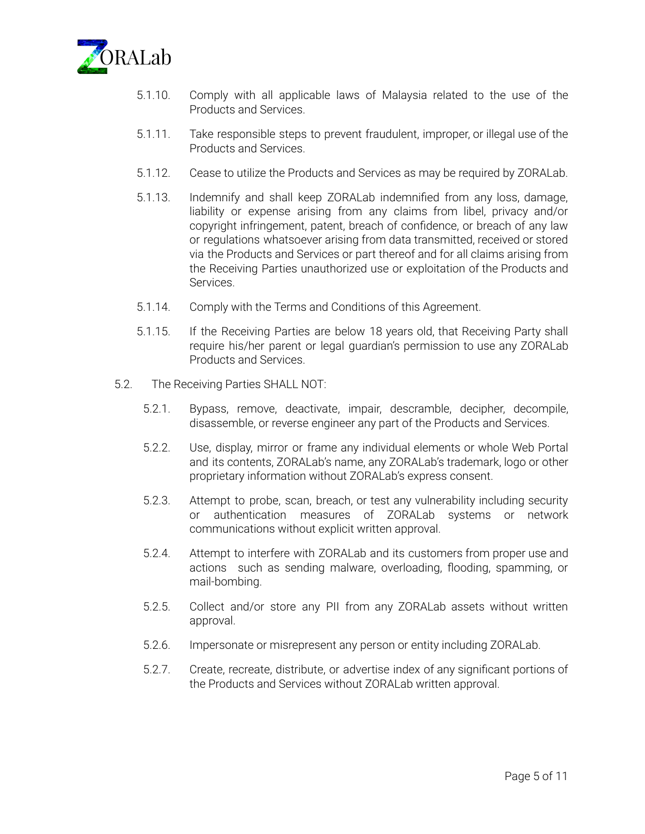

- 5.1.10. Comply with all applicable laws of Malaysia related to the use of the Products and Services.
- 5.1.11. Take responsible steps to prevent fraudulent, improper, or illegal use of the Products and Services.
- 5.1.12. Cease to utilize the Products and Services as may be required by ZORALab.
- 5.1.13. Indemnify and shall keep ZORALab indemnified from any loss, damage, liability or expense arising from any claims from libel, privacy and/or copyright infringement, patent, breach of confidence, or breach of any law or regulations whatsoever arising from data transmitted, received or stored via the Products and Services or part thereof and for all claims arising from the Receiving Parties unauthorized use or exploitation of the Products and Services.
- 5.1.14. Comply with the Terms and Conditions of this Agreement.
- 5.1.15. If the Receiving Parties are below 18 years old, that Receiving Party shall require his/her parent or legal guardian's permission to use any ZORALab Products and Services.
- 5.2. The Receiving Parties SHALL NOT:
	- 5.2.1. Bypass, remove, deactivate, impair, descramble, decipher, decompile, disassemble, or reverse engineer any part of the Products and Services.
	- 5.2.2. Use, display, mirror or frame any individual elements or whole Web Portal and its contents, ZORALab's name, any ZORALab's trademark, logo or other proprietary information without ZORALab's express consent.
	- 5.2.3. Attempt to probe, scan, breach, or test any vulnerability including security or authentication measures of ZORALab systems or network communications without explicit written approval.
	- 5.2.4. Attempt to interfere with ZORALab and its customers from proper use and actions such as sending malware, overloading, flooding, spamming, or mail-bombing.
	- 5.2.5. Collect and/or store any PII from any ZORALab assets without written approval.
	- 5.2.6. Impersonate or misrepresent any person or entity including ZORALab.
	- 5.2.7. Create, recreate, distribute, or advertise index of any significant portions of the Products and Services without ZORALab written approval.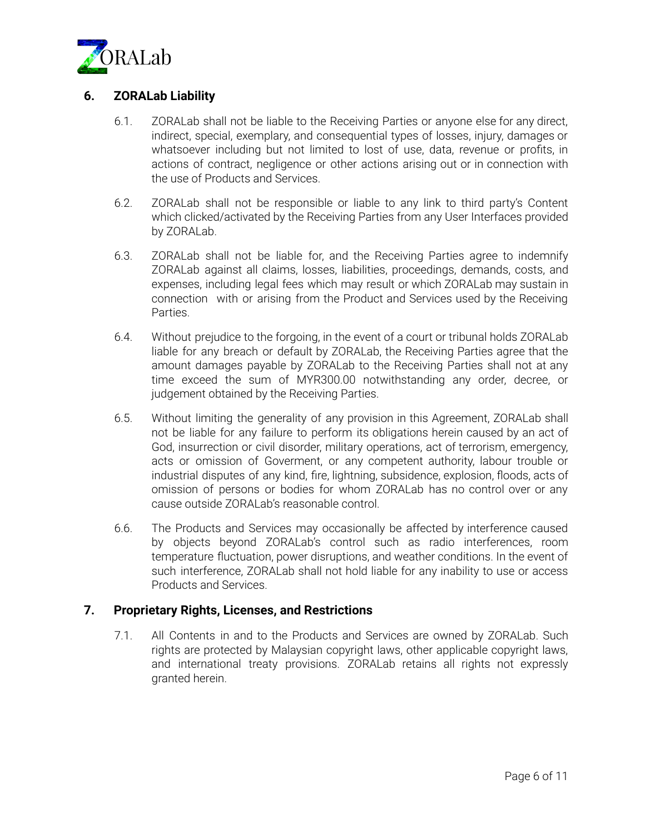

# **6. ZORALab Liability**

- 6.1. ZORALab shall not be liable to the Receiving Parties or anyone else for any direct, indirect, special, exemplary, and consequential types of losses, injury, damages or whatsoever including but not limited to lost of use, data, revenue or profits, in actions of contract, negligence or other actions arising out or in connection with the use of Products and Services.
- 6.2. ZORALab shall not be responsible or liable to any link to third party's Content which clicked/activated by the Receiving Parties from any User Interfaces provided by ZORALab.
- 6.3. ZORALab shall not be liable for, and the Receiving Parties agree to indemnify ZORALab against all claims, losses, liabilities, proceedings, demands, costs, and expenses, including legal fees which may result or which ZORALab may sustain in connection with or arising from the Product and Services used by the Receiving Parties.
- 6.4. Without prejudice to the forgoing, in the event of a court or tribunal holds ZORALab liable for any breach or default by ZORALab, the Receiving Parties agree that the amount damages payable by ZORALab to the Receiving Parties shall not at any time exceed the sum of MYR300.00 notwithstanding any order, decree, or judgement obtained by the Receiving Parties.
- 6.5. Without limiting the generality of any provision in this Agreement, ZORALab shall not be liable for any failure to perform its obligations herein caused by an act of God, insurrection or civil disorder, military operations, act of terrorism, emergency, acts or omission of Goverment, or any competent authority, labour trouble or industrial disputes of any kind, fire, lightning, subsidence, explosion, floods, acts of omission of persons or bodies for whom ZORALab has no control over or any cause outside ZORALab's reasonable control.
- 6.6. The Products and Services may occasionally be affected by interference caused by objects beyond ZORALab's control such as radio interferences, room temperature fluctuation, power disruptions, and weather conditions. In the event of such interference, ZORALab shall not hold liable for any inability to use or access Products and Services.

# **7. Proprietary Rights, Licenses, and Restrictions**

7.1. All Contents in and to the Products and Services are owned by ZORALab. Such rights are protected by Malaysian copyright laws, other applicable copyright laws, and international treaty provisions. ZORALab retains all rights not expressly granted herein.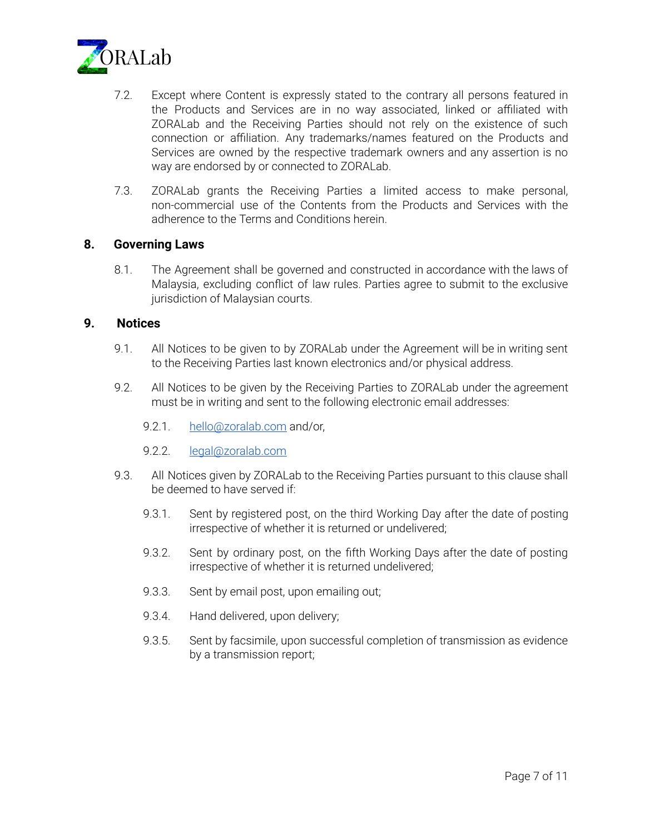

- 7.2. Except where Content is expressly stated to the contrary all persons featured in the Products and Services are in no way associated, linked or affiliated with ZORALab and the Receiving Parties should not rely on the existence of such connection or affiliation. Any trademarks/names featured on the Products and Services are owned by the respective trademark owners and any assertion is no way are endorsed by or connected to ZORALab.
- 7.3. ZORALab grants the Receiving Parties a limited access to make personal, non-commercial use of the Contents from the Products and Services with the adherence to the Terms and Conditions herein.

## **8. Governing Laws**

8.1. The Agreement shall be governed and constructed in accordance with the laws of Malaysia, excluding conflict of law rules. Parties agree to submit to the exclusive jurisdiction of Malaysian courts.

#### **9. Notices**

- 9.1. All Notices to be given to by ZORALab under the Agreement will be in writing sent to the Receiving Parties last known electronics and/or physical address.
- 9.2. All Notices to be given by the Receiving Parties to ZORALab under the agreement must be in writing and sent to the following electronic email addresses:
	- 9.2.1. [hello@zoralab.com](mailto:hello@zoralab.com) and/or,
	- 9.2.2. [legal@zoralab.com](mailto:legal@zoralab.com)
- 9.3. All Notices given by ZORALab to the Receiving Parties pursuant to this clause shall be deemed to have served if:
	- 9.3.1. Sent by registered post, on the third Working Day after the date of posting irrespective of whether it is returned or undelivered;
	- 9.3.2. Sent by ordinary post, on the fifth Working Days after the date of posting irrespective of whether it is returned undelivered;
	- 9.3.3. Sent by email post, upon emailing out;
	- 9.3.4. Hand delivered, upon delivery;
	- 9.3.5. Sent by facsimile, upon successful completion of transmission as evidence by a transmission report;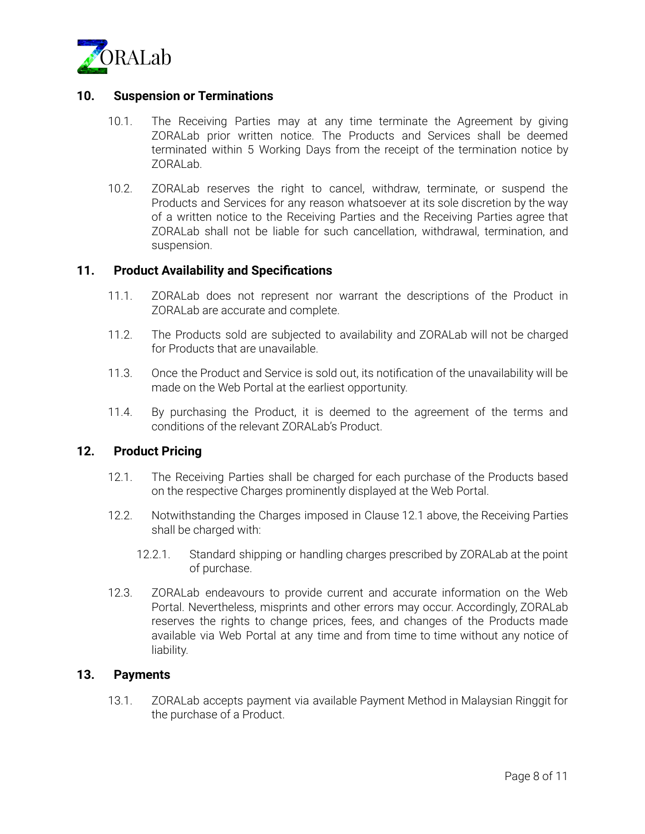

# **10. Suspension or Terminations**

- 10.1. The Receiving Parties may at any time terminate the Agreement by giving ZORALab prior written notice. The Products and Services shall be deemed terminated within 5 Working Days from the receipt of the termination notice by ZORALab.
- 10.2. ZORALab reserves the right to cancel, withdraw, terminate, or suspend the Products and Services for any reason whatsoever at its sole discretion by the way of a written notice to the Receiving Parties and the Receiving Parties agree that ZORALab shall not be liable for such cancellation, withdrawal, termination, and suspension.

#### **11. Product Availability and Specifications**

- 11.1. ZORALab does not represent nor warrant the descriptions of the Product in ZORALab are accurate and complete.
- 11.2. The Products sold are subjected to availability and ZORALab will not be charged for Products that are unavailable.
- 11.3. Once the Product and Service is sold out, its notification of the unavailability will be made on the Web Portal at the earliest opportunity.
- 11.4. By purchasing the Product, it is deemed to the agreement of the terms and conditions of the relevant ZORALab's Product.

## **12. Product Pricing**

- 12.1. The Receiving Parties shall be charged for each purchase of the Products based on the respective Charges prominently displayed at the Web Portal.
- 12.2. Notwithstanding the Charges imposed in Clause 12.1 above, the Receiving Parties shall be charged with:
	- 12.2.1. Standard shipping or handling charges prescribed by ZORALab at the point of purchase.
- 12.3. ZORALab endeavours to provide current and accurate information on the Web Portal. Nevertheless, misprints and other errors may occur. Accordingly, ZORALab reserves the rights to change prices, fees, and changes of the Products made available via Web Portal at any time and from time to time without any notice of liability.

#### **13. Payments**

13.1. ZORALab accepts payment via available Payment Method in Malaysian Ringgit for the purchase of a Product.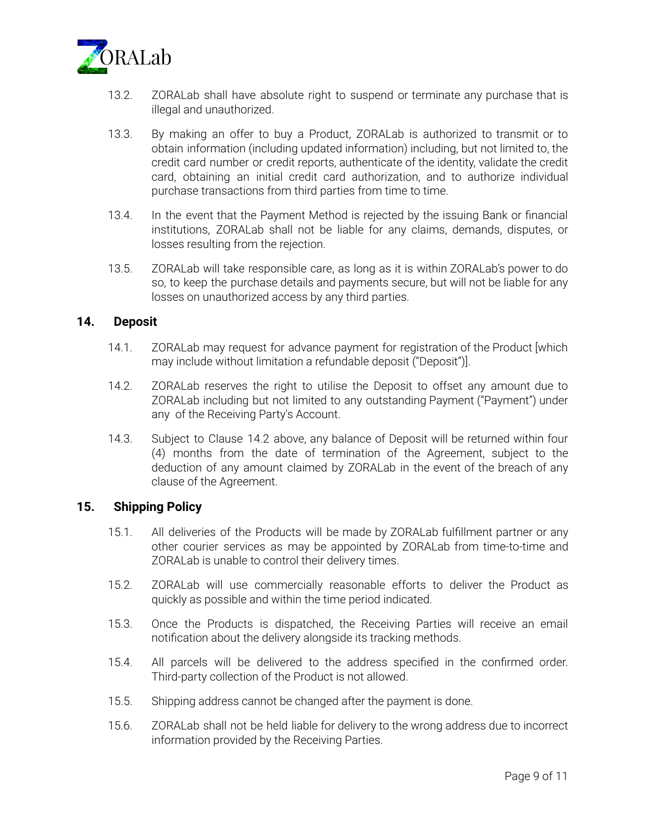

- 13.2. ZORALab shall have absolute right to suspend or terminate any purchase that is illegal and unauthorized.
- 13.3. By making an offer to buy a Product, ZORALab is authorized to transmit or to obtain information (including updated information) including, but not limited to, the credit card number or credit reports, authenticate of the identity, validate the credit card, obtaining an initial credit card authorization, and to authorize individual purchase transactions from third parties from time to time.
- 13.4. In the event that the Payment Method is rejected by the issuing Bank or financial institutions, ZORALab shall not be liable for any claims, demands, disputes, or losses resulting from the rejection.
- 13.5. ZORALab will take responsible care, as long as it is within ZORALab's power to do so, to keep the purchase details and payments secure, but will not be liable for any losses on unauthorized access by any third parties.

## **14. Deposit**

- 14.1. ZORALab may request for advance payment for registration of the Product [which may include without limitation a refundable deposit ("Deposit")].
- 14.2. ZORALab reserves the right to utilise the Deposit to offset any amount due to ZORALab including but not limited to any outstanding Payment ("Payment") under any of the Receiving Party's Account.
- 14.3. Subject to Clause 14.2 above, any balance of Deposit will be returned within four (4) months from the date of termination of the Agreement, subject to the deduction of any amount claimed by ZORALab in the event of the breach of any clause of the Agreement.

# **15. Shipping Policy**

- 15.1. All deliveries of the Products will be made by ZORALab fulfillment partner or any other courier services as may be appointed by ZORALab from time-to-time and ZORALab is unable to control their delivery times.
- 15.2. ZORALab will use commercially reasonable efforts to deliver the Product as quickly as possible and within the time period indicated.
- 15.3. Once the Products is dispatched, the Receiving Parties will receive an email notification about the delivery alongside its tracking methods.
- 15.4. All parcels will be delivered to the address specified in the confirmed order. Third-party collection of the Product is not allowed.
- 15.5. Shipping address cannot be changed after the payment is done.
- 15.6. ZORALab shall not be held liable for delivery to the wrong address due to incorrect information provided by the Receiving Parties.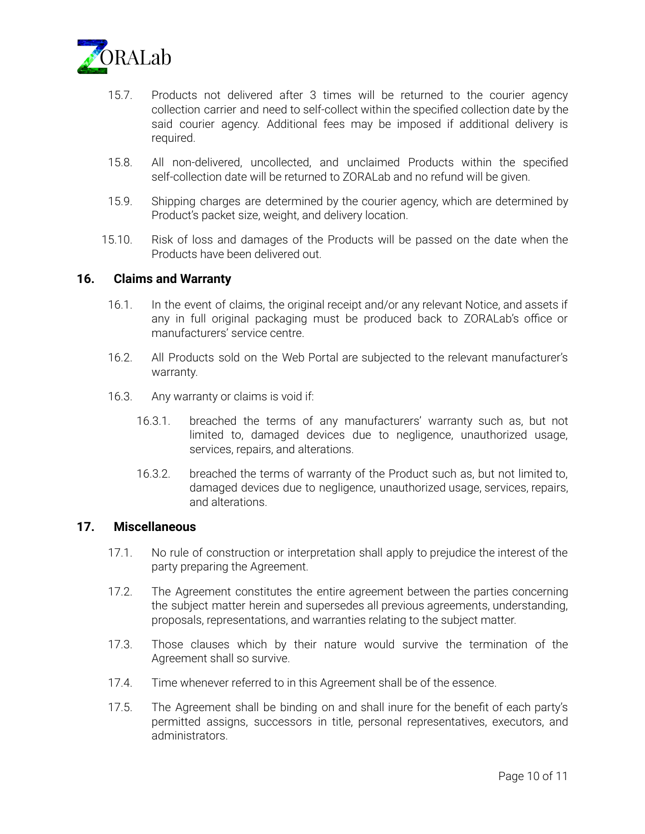

- 15.7. Products not delivered after 3 times will be returned to the courier agency collection carrier and need to self-collect within the specified collection date by the said courier agency. Additional fees may be imposed if additional delivery is required.
- 15.8. All non-delivered, uncollected, and unclaimed Products within the specified self-collection date will be returned to ZORALab and no refund will be given.
- 15.9. Shipping charges are determined by the courier agency, which are determined by Product's packet size, weight, and delivery location.
- 15.10. Risk of loss and damages of the Products will be passed on the date when the Products have been delivered out.

#### **16. Claims and Warranty**

- 16.1. In the event of claims, the original receipt and/or any relevant Notice, and assets if any in full original packaging must be produced back to ZORALab's office or manufacturers' service centre.
- 16.2. All Products sold on the Web Portal are subjected to the relevant manufacturer's warranty.
- 16.3. Any warranty or claims is void if:
	- 16.3.1. breached the terms of any manufacturers' warranty such as, but not limited to, damaged devices due to negligence, unauthorized usage, services, repairs, and alterations.
	- 16.3.2. breached the terms of warranty of the Product such as, but not limited to, damaged devices due to negligence, unauthorized usage, services, repairs, and alterations.

## **17. Miscellaneous**

- 17.1. No rule of construction or interpretation shall apply to prejudice the interest of the party preparing the Agreement.
- 17.2. The Agreement constitutes the entire agreement between the parties concerning the subject matter herein and supersedes all previous agreements, understanding, proposals, representations, and warranties relating to the subject matter.
- 17.3. Those clauses which by their nature would survive the termination of the Agreement shall so survive.
- 17.4. Time whenever referred to in this Agreement shall be of the essence.
- 17.5. The Agreement shall be binding on and shall inure for the benefit of each party's permitted assigns, successors in title, personal representatives, executors, and administrators.